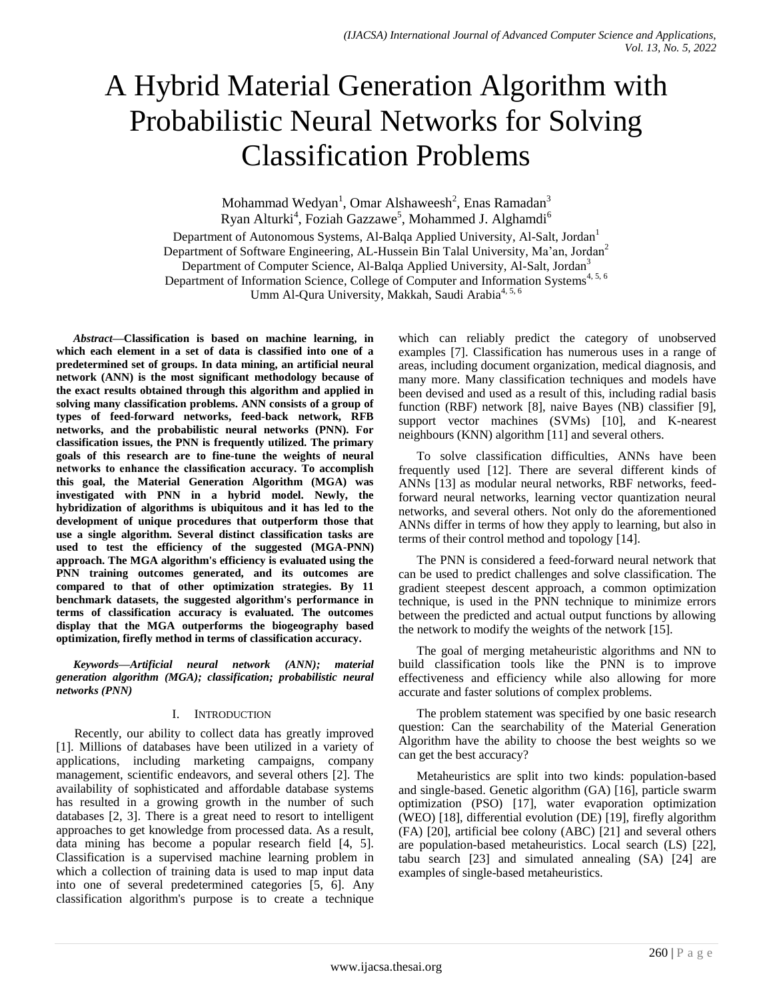# A Hybrid Material Generation Algorithm with Probabilistic Neural Networks for Solving Classification Problems

Mohammad Wedyan<sup>1</sup>, Omar Alshaweesh<sup>2</sup>, Enas Ramadan<sup>3</sup> Ryan Alturki<sup>4</sup>, Foziah Gazzawe<sup>5</sup>, Mohammed J. Alghamdi<sup>6</sup>

Department of Autonomous Systems, Al-Balqa Applied University, Al-Salt, Jordan<sup>1</sup> Department of Software Engineering, AL-Hussein Bin Talal University, Ma'an, Jordan<sup>2</sup> Department of Computer Science, Al-Balga Applied University, Al-Salt, Jordan<sup>3</sup> Department of Information Science, College of Computer and Information Systems<sup>4, 5, 6</sup> Umm Al-Qura University, Makkah, Saudi Arabia<sup>4, 5, 6</sup>

*Abstract***—Classification is based on machine learning, in which each element in a set of data is classified into one of a predetermined set of groups. In data mining, an artificial neural network (ANN) is the most significant methodology because of the exact results obtained through this algorithm and applied in solving many classification problems. ANN consists of a group of types of feed-forward networks, feed-back network, RFB networks, and the probabilistic neural networks (PNN). For classification issues, the PNN is frequently utilized. The primary goals of this research are to fine-tune the weights of neural networks to enhance the classification accuracy. To accomplish this goal, the Material Generation Algorithm (MGA) was investigated with PNN in a hybrid model. Newly, the hybridization of algorithms is ubiquitous and it has led to the development of unique procedures that outperform those that use a single algorithm. Several distinct classification tasks are used to test the efficiency of the suggested (MGA-PNN) approach. The MGA algorithm's efficiency is evaluated using the PNN training outcomes generated, and its outcomes are compared to that of other optimization strategies. By 11 benchmark datasets, the suggested algorithm's performance in terms of classification accuracy is evaluated. The outcomes display that the MGA outperforms the biogeography based optimization, firefly method in terms of classification accuracy.**

*Keywords—Artificial neural network (ANN); material generation algorithm (MGA); classification; probabilistic neural networks (PNN)*

# I. INTRODUCTION

Recently, our ability to collect data has greatly improved [1]. Millions of databases have been utilized in a variety of applications, including marketing campaigns, company management, scientific endeavors, and several others [2]. The availability of sophisticated and affordable database systems has resulted in a growing growth in the number of such databases [2, 3]. There is a great need to resort to intelligent approaches to get knowledge from processed data. As a result, data mining has become a popular research field [4, 5]. Classification is a supervised machine learning problem in which a collection of training data is used to map input data into one of several predetermined categories [5, 6]. Any classification algorithm's purpose is to create a technique

which can reliably predict the category of unobserved examples [7]. Classification has numerous uses in a range of areas, including document organization, medical diagnosis, and many more. Many classification techniques and models have been devised and used as a result of this, including radial basis function (RBF) network [8], naive Bayes (NB) classifier [9], support vector machines (SVMs) [10], and K-nearest neighbours (KNN) algorithm [11] and several others.

To solve classification difficulties, ANNs have been frequently used [12]. There are several different kinds of ANNs [13] as modular neural networks, RBF networks, feedforward neural networks, learning vector quantization neural networks, and several others. Not only do the aforementioned ANNs differ in terms of how they apply to learning, but also in terms of their control method and topology [14].

The PNN is considered a feed-forward neural network that can be used to predict challenges and solve classification. The gradient steepest descent approach, a common optimization technique, is used in the PNN technique to minimize errors between the predicted and actual output functions by allowing the network to modify the weights of the network [15].

The goal of merging metaheuristic algorithms and NN to build classification tools like the PNN is to improve effectiveness and efficiency while also allowing for more accurate and faster solutions of complex problems.

The problem statement was specified by one basic research question: Can the searchability of the Material Generation Algorithm have the ability to choose the best weights so we can get the best accuracy?

Metaheuristics are split into two kinds: population-based and single-based. Genetic algorithm (GA) [16], particle swarm optimization (PSO) [17], water evaporation optimization (WEO) [18], differential evolution (DE) [19], firefly algorithm (FA) [20], artificial bee colony (ABC) [21] and several others are population-based metaheuristics. Local search (LS) [22], tabu search [23] and simulated annealing (SA) [24] are examples of single-based metaheuristics.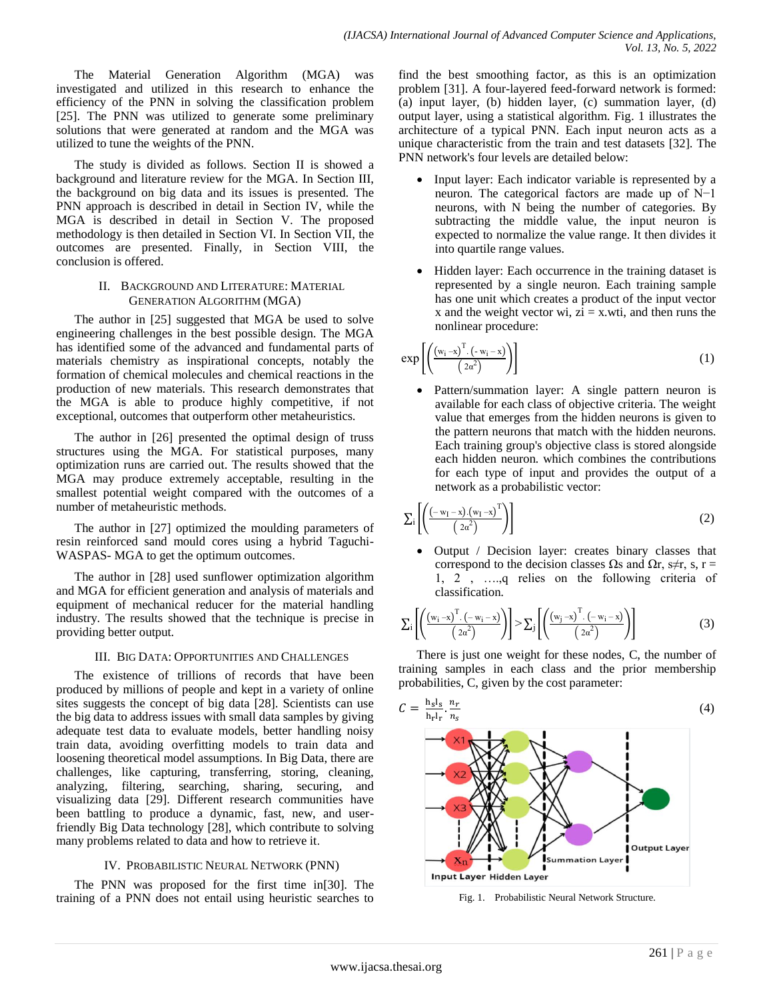The Material Generation Algorithm (MGA) was investigated and utilized in this research to enhance the efficiency of the PNN in solving the classification problem [25]. The PNN was utilized to generate some preliminary solutions that were generated at random and the MGA was utilized to tune the weights of the PNN.

The study is divided as follows. Section II is showed a background and literature review for the MGA. In Section III, the background on big data and its issues is presented. The PNN approach is described in detail in Section IV, while the MGA is described in detail in Section V. The proposed methodology is then detailed in Section VI. In Section VII, the outcomes are presented. Finally, in Section VIII, the conclusion is offered.

## II. BACKGROUND AND LITERATURE: MATERIAL GENERATION ALGORITHM (MGA)

The author in [25] suggested that MGA be used to solve engineering challenges in the best possible design. The MGA has identified some of the advanced and fundamental parts of materials chemistry as inspirational concepts, notably the formation of chemical molecules and chemical reactions in the production of new materials. This research demonstrates that the MGA is able to produce highly competitive, if not exceptional, outcomes that outperform other metaheuristics.

The author in [26] presented the optimal design of truss structures using the MGA. For statistical purposes, many optimization runs are carried out. The results showed that the MGA may produce extremely acceptable, resulting in the smallest potential weight compared with the outcomes of a number of metaheuristic methods.

The author in [27] optimized the moulding parameters of resin reinforced sand mould cores using a hybrid Taguchi-WASPAS- MGA to get the optimum outcomes.

The author in [28] used sunflower optimization algorithm and MGA for efficient generation and analysis of materials and equipment of mechanical reducer for the material handling industry. The results showed that the technique is precise in providing better output.

# III. BIG DATA: OPPORTUNITIES AND CHALLENGES

The existence of trillions of records that have been produced by millions of people and kept in a variety of online sites suggests the concept of big data [28]. Scientists can use the big data to address issues with small data samples by giving adequate test data to evaluate models, better handling noisy train data, avoiding overfitting models to train data and loosening theoretical model assumptions. In Big Data, there are challenges, like capturing, transferring, storing, cleaning, analyzing, filtering, searching, sharing, securing, and visualizing data [29]. Different research communities have been battling to produce a dynamic, fast, new, and userfriendly Big Data technology [28], which contribute to solving many problems related to data and how to retrieve it.

# IV. PROBABILISTIC NEURAL NETWORK (PNN)

The PNN was proposed for the first time in[30]. The training of a PNN does not entail using heuristic searches to find the best smoothing factor, as this is an optimization problem [31]. A four-layered feed-forward network is formed: (a) input layer, (b) hidden layer, (c) summation layer, (d) output layer, using a statistical algorithm. Fig. 1 illustrates the architecture of a typical PNN. Each input neuron acts as a unique characteristic from the train and test datasets [32]. The PNN network's four levels are detailed below:

- Input layer: Each indicator variable is represented by a neuron. The categorical factors are made up of N−1 neurons, with N being the number of categories. By subtracting the middle value, the input neuron is expected to normalize the value range. It then divides it into quartile range values.
- Hidden layer: Each occurrence in the training dataset is represented by a single neuron. Each training sample has one unit which creates a product of the input vector x and the weight vector wi,  $zi = x.wti$ , and then runs the nonlinear procedure:

$$
\exp\left[\left(\frac{\left(w_{i}-x\right)^{T}\cdot\left(-w_{i}-x\right)}{\left(2\alpha^{2}\right)}\right)\right]
$$
\n(1)

 Pattern/summation layer: A single pattern neuron is available for each class of objective criteria. The weight value that emerges from the hidden neurons is given to the pattern neurons that match with the hidden neurons. Each training group's objective class is stored alongside each hidden neuron. which combines the contributions for each type of input and provides the output of a network as a probabilistic vector:

$$
\Sigma_{i}\left[\left(\frac{\left(-w_{I}-x\right)\left(w_{I}-x\right)^{T}}{\left(2\alpha^{2}\right)}\right)\right]
$$
\n
$$
(2)
$$

 Output / Decision layer: creates binary classes that correspond to the decision classes  $\Omega$ s and  $\Omega$ r, s $\neq$ r, s, r =  $1, 2, \ldots, q$  relies on the following criteria of classification.

$$
\sum_{i} \left[ \left( \frac{\left( w_{i} - x \right)^{T} \cdot \left( -w_{i} - x \right)}{\left( 2\alpha^{2} \right)} \right) \right] > \sum_{j} \left[ \left( \frac{\left( w_{j} - x \right)^{T} \cdot \left( -w_{i} - x \right)}{\left( 2\alpha^{2} \right)} \right) \right] \tag{3}
$$

There is just one weight for these nodes, C, the number of training samples in each class and the prior membership probabilities, C, given by the cost parameter:



Fig. 1. Probabilistic Neural Network Structure.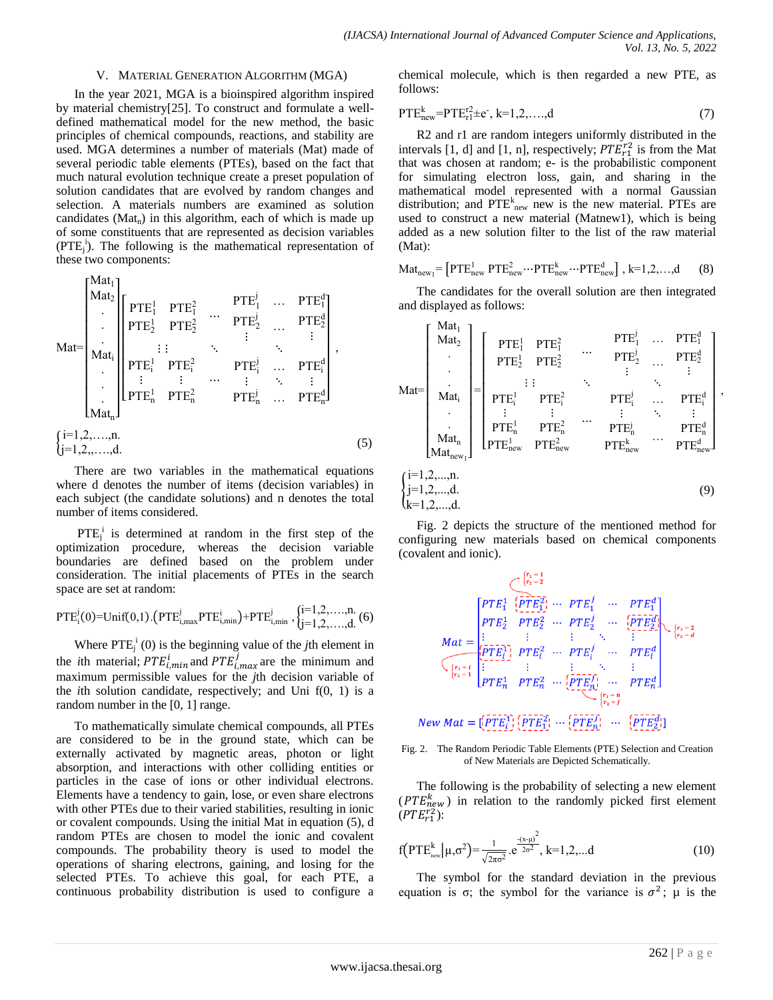#### V. MATERIAL GENERATION ALGORITHM (MGA)

In the year 2021, MGA is a bioinspired algorithm inspired by material chemistry[25]. To construct and formulate a welldefined mathematical model for the new method, the basic principles of chemical compounds, reactions, and stability are used. MGA determines a number of materials (Mat) made of several periodic table elements (PTEs), based on the fact that much natural evolution technique create a preset population of solution candidates that are evolved by random changes and selection. A materials numbers are examined as solution candidates ( $Mat<sub>n</sub>$ ) in this algorithm, each of which is made up of some constituents that are represented as decision variables  $(PTE<sub>i</sub><sup>i</sup>)$ . The following is the mathematical representation of these two components:

$$
\text{Mat} = \begin{bmatrix} \text{Mat}_1 \\ \text{Mat}_2 \\ \vdots \\ \text{Mat}_i \\ \text{Mat}_i \\ \vdots \\ \text{Mat}_n \end{bmatrix} \begin{bmatrix} \text{PTE}_1^1 & \text{PTE}_1^2 & \cdots & \text{PTE}_1^j & \cdots & \text{PTE}_1^d \\ \text{PTE}_2^1 & \text{PTE}_2^2 & \cdots & \text{PTE}_2^j & \cdots & \text{PTE}_2^d \\ \vdots & \vdots & \ddots & \vdots & \ddots & \vdots \\ \text{PTE}_1^1 & \text{PTE}_1^2 & \cdots & \text{PTE}_1^i & \cdots & \text{PTE}_i^d \\ \vdots & \vdots & \cdots & \vdots & \ddots & \vdots \\ \text{PTE}_n^1 & \text{PTE}_n^2 & \cdots & \text{PTE}_n^d & \cdots & \text{PTE}_n^d \end{bmatrix},
$$
\n
$$
\text{(5)} \quad \text{(5)}
$$

There are two variables in the mathematical equations where d denotes the number of items (decision variables) in each subject (the candidate solutions) and n denotes the total number of items considered.

 $PTE_j^i$  is determined at random in the first step of the optimization procedure, whereas the decision variable boundaries are defined based on the problem under consideration. The initial placements of PTEs in the search space are set at random:

$$
PTE_i^j(0) = \text{Unif}(0,1).\big(PTE_{i,\text{max}}^j PTE_{i,\text{min}}^i\big) + PTE_{i,\text{min}}^j \text{ , } \begin{cases} i=1,2,\ldots,n.\\ j=1,2,\ldots,d. \end{cases} (6)
$$

Where  $PTE_j^i(0)$  is the beginning value of the *j*th element in the *i*th material;  $PTE_{i,min}^{i}$  and  $PTE_{i,max}^{j}$  are the minimum and maximum permissible values for the *j*th decision variable of the *i*th solution candidate, respectively; and Uni f(0, 1) is a random number in the [0, 1] range.

To mathematically simulate chemical compounds, all PTEs are considered to be in the ground state, which can be externally activated by magnetic areas, photon or light absorption, and interactions with other colliding entities or particles in the case of ions or other individual electrons. Elements have a tendency to gain, lose, or even share electrons with other PTEs due to their varied stabilities, resulting in ionic or covalent compounds. Using the initial Mat in equation (5), d random PTEs are chosen to model the ionic and covalent compounds. The probability theory is used to model the operations of sharing electrons, gaining, and losing for the selected PTEs. To achieve this goal, for each PTE, a continuous probability distribution is used to configure a chemical molecule, which is then regarded a new PTE, as follows:

$$
PTE_{new}^{k}=PTE_{r1}^{r2} \pm e^{-}, k=1,2,...,d
$$
 (7)

R2 and r1 are random integers uniformly distributed in the intervals [1, d] and [1, n], respectively;  $PTE_{r1}^{r2}$  is from the Mat that was chosen at random; e- is the probabilistic component for simulating electron loss, gain, and sharing in the mathematical model represented with a normal Gaussian distribution; and  $PTE_{\text{new}}^k$  new is the new material. PTEs are used to construct a new material (Matnew1), which is being added as a new solution filter to the list of the raw material  $(Mat):$ 

$$
\text{Mat}_{\text{new}_1} = \left[ \text{PTE}_{\text{new}}^1 \text{ PTE}_{\text{new}}^2 \cdots \text{PTE}_{\text{new}}^k \cdots \text{PTE}_{\text{new}}^d \right], k=1,2,...,d \qquad (8)
$$

The candidates for the overall solution are then integrated and displayed as follows:

Mat [ Mat<sup>1</sup> Mat Mat<sup>i</sup> Mat<sup>n</sup> Matnew<sup>1</sup> ] [ <sup>1</sup> 1 <sup>1</sup> 1 <sup>1</sup> <sup>j</sup> … <sup>1</sup> d j … d <sup>i</sup> 1 <sup>i</sup> <sup>n</sup> 1 new 1 <sup>n</sup> new <sup>i</sup> <sup>j</sup> … <sup>i</sup> d <sup>n</sup> j new <sup>k</sup> … <sup>n</sup> d new d ] { i 1, , ,n j 1, , ,d k 1, , ,d (9)

Fig. 2 depicts the structure of the mentioned method for configuring new materials based on chemical components (covalent and ionic).

$$
Mat = \begin{bmatrix} \overline{PTE_1^1} & \overline{PTE_1^2} & \cdots & \overline{PTE_1^j} & \cdots & \overline{PTE_1^d} \\ \overline{PTE_2^1} & \overline{PTE_2^2} & \cdots & \overline{PTE_2^j} & \cdots & \overline{PTE_1^d} \\ \vdots & \vdots & \vdots & \ddots & \vdots & \vdots \\ \overline{PTE_1^1} & \overline{PTE_1^2} & \cdots & \overline{PTE_i^j} & \cdots & \overline{PTE_i^d} \\ \overline{PTE_1^1} & \overline{PTE_1^2} & \cdots & \overline{PTE_i^j} & \cdots & \overline{PTE_i^d} \\ \overline{PTE_n^1} & \overline{PTE_n^2} & \cdots & \overline{PTE_n^j} & \cdots & \overline{PTE_n^d} \\ \end{bmatrix} \quad \text{and} \quad \begin{matrix} r_1 = 2 \\ r_2 = d \\ r_3 = d \end{matrix}
$$
  
\n
$$
ew \text{ Mat} = \begin{bmatrix} \overline{PTE_1^1} \\ \overline{PTE_1^1} \end{bmatrix} \begin{bmatrix} \overline{PTE_1^2} \\ \overline{PTE_1^2} \end{bmatrix} \cdots \begin{bmatrix} \overline{PTE_n^j} \\ \overline{PTE_n^j} \end{bmatrix} \cdots \begin{bmatrix} \overline{PTE_n^j} \\ \overline{PTE_n^j} \end{bmatrix} \cdots \begin{bmatrix} \overline{PTE_n^j} \\ \overline{PTE_n^j} \end{bmatrix} \cdots \begin{bmatrix} \overline{PTE_n^j} \\ \overline{PTE_n^j} \end{bmatrix}
$$

Fig. 2. The Random Periodic Table Elements (PTE) Selection and Creation of New Materials are Depicted Schematically.

The following is the probability of selecting a new element ( $PTE_{new}^{k}$ ) in relation to the randomly picked first element  $(PTE_{r1}^{r2})$ :

$$
f\left(\text{PTE}_{\text{new}}^k|\mu,\sigma^2\right) = \frac{1}{\sqrt{2\pi\sigma^2}}\cdot e^{\frac{-(x-\mu)^2}{2\sigma^2}}, k=1,2,...d
$$
 (10)

The symbol for the standard deviation in the previous equation is  $\sigma$ ; the symbol for the variance is  $\sigma^2$ ;  $\mu$  is the

 $\boldsymbol{N}$ 

,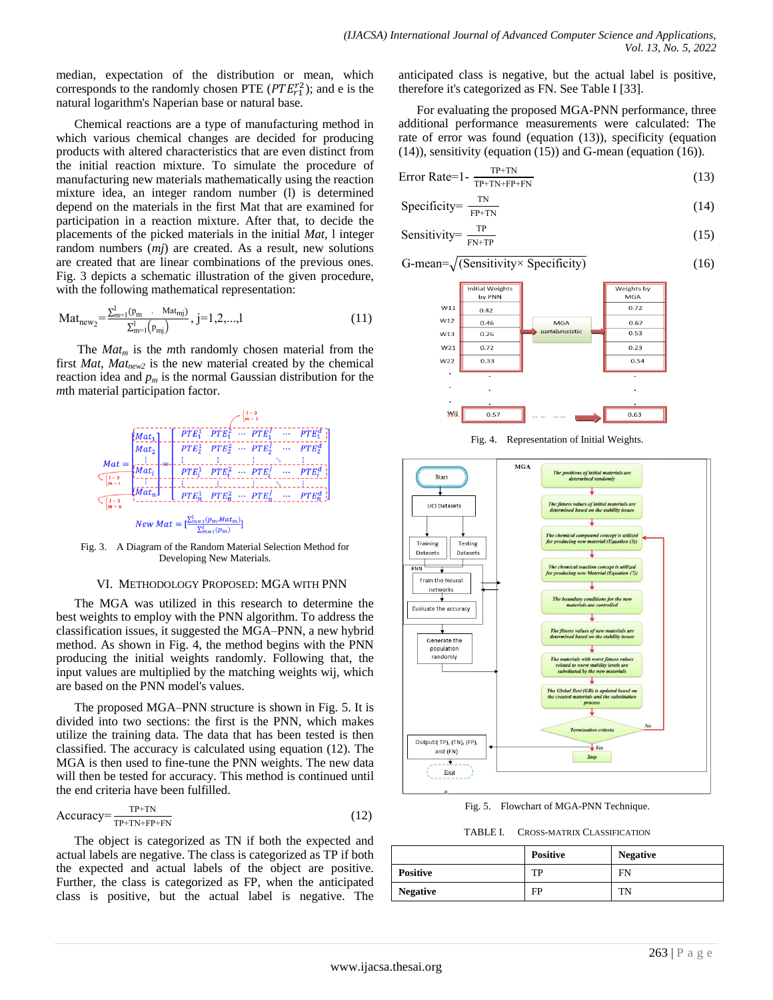median, expectation of the distribution or mean, which corresponds to the randomly chosen PTE  $(PTE_{r1}^{r2})$ ; and e is the natural logarithm's Naperian base or natural base.

Chemical reactions are a type of manufacturing method in which various chemical changes are decided for producing products with altered characteristics that are even distinct from the initial reaction mixture. To simulate the procedure of manufacturing new materials mathematically using the reaction mixture idea, an integer random number (l) is determined depend on the materials in the first Mat that are examined for participation in a reaction mixture. After that, to decide the placements of the picked materials in the initial *Mat*, l integer random numbers (*mj*) are created. As a result, new solutions are created that are linear combinations of the previous ones. Fig. 3 depicts a schematic illustration of the given procedure, with the following mathematical representation:

$$
Mat_{new_2} = \frac{\sum_{m=1}^{l} (P_m \cdots Mat_{mj})}{\sum_{m=1}^{l} (P_{mj})}, j=1,2,...,l
$$
\n(11)

The *Mat<sup>m</sup>* is the *m*th randomly chosen material from the first *Mat*, *Matnew2* is the new material created by the chemical reaction idea and  $p_m$  is the normal Gaussian distribution for the *m*th material participation factor.



Fig. 3. A Diagram of the Random Material Selection Method for Developing New Materials.

#### VI. METHODOLOGY PROPOSED: MGA WITH PNN

The MGA was utilized in this research to determine the best weights to employ with the PNN algorithm. To address the classification issues, it suggested the MGA–PNN, a new hybrid method. As shown in Fig. 4, the method begins with the PNN producing the initial weights randomly. Following that, the input values are multiplied by the matching weights wij, which are based on the PNN model's values.

The proposed MGA–PNN structure is shown in Fig. 5. It is divided into two sections: the first is the PNN, which makes utilize the training data. The data that has been tested is then classified. The accuracy is calculated using equation (12). The MGA is then used to fine-tune the PNN weights. The new data will then be tested for accuracy. This method is continued until the end criteria have been fulfilled.

$$
Accuracy = \frac{TP + TN}{TP + TN + FP + FN}
$$
 (12)

The object is categorized as TN if both the expected and actual labels are negative. The class is categorized as TP if both the expected and actual labels of the object are positive. Further, the class is categorized as FP, when the anticipated class is positive, but the actual label is negative. The

anticipated class is negative, but the actual label is positive, therefore it's categorized as FN. See Table I [33].

For evaluating the proposed MGA-PNN performance, three additional performance measurements were calculated: The rate of error was found (equation (13)), specificity (equation (14)), sensitivity (equation (15)) and G-mean (equation (16)).

$$
Error Rate = 1 - \frac{TP+TN}{TP+TN+FP+FN}
$$
 (13)

$$
Specificity = \frac{TN}{FP+TN}
$$
 (14)

Sensitivity
$$
= \frac{\text{TP}}{\text{FN+TP}} \tag{15}
$$

$$
G-mean = \sqrt{\text{(Sensitivity} \times \text{Specificity)}}\tag{16}
$$



Fig. 4. Representation of Initial Weights.



Fig. 5. Flowchart of MGA-PNN Technique.

TABLE I. CROSS-MATRIX CLASSIFICATION

|                 | <b>Positive</b> | <b>Negative</b> |
|-----------------|-----------------|-----------------|
| <b>Positive</b> | TP              | FN              |
| <b>Negative</b> | FP              | TN              |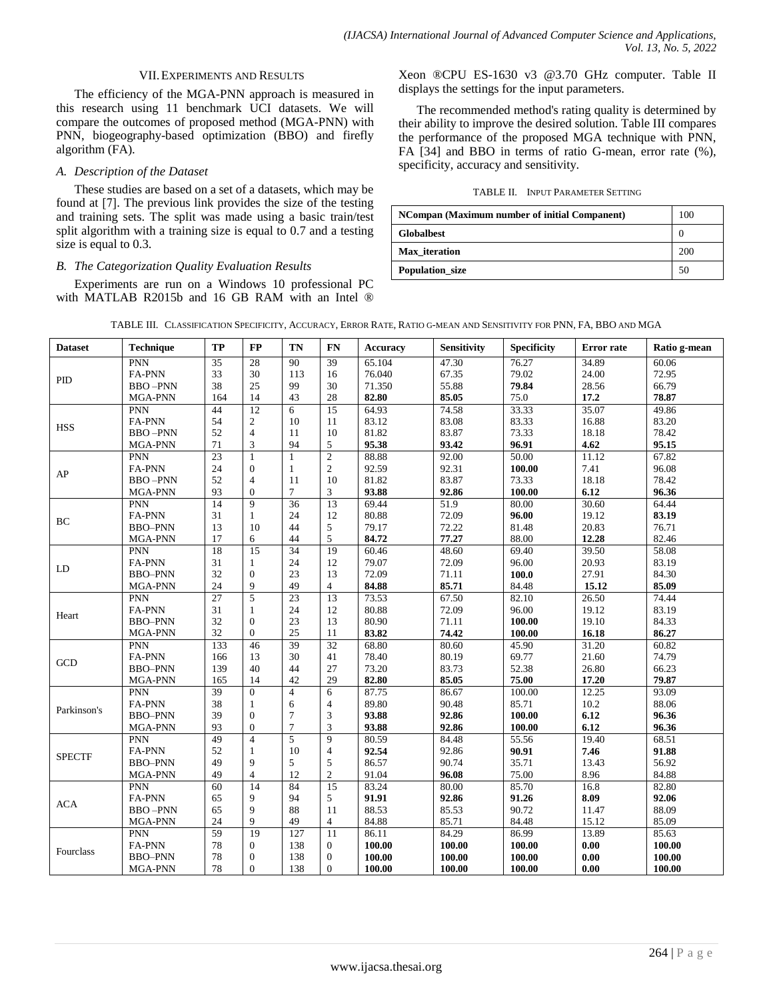### VII.EXPERIMENTS AND RESULTS

The efficiency of the MGA-PNN approach is measured in this research using 11 benchmark UCI datasets. We will compare the outcomes of proposed method (MGA-PNN) with PNN, biogeography-based optimization (BBO) and firefly algorithm (FA).

## *A. Description of the Dataset*

These studies are based on a set of a datasets, which may be found at [7]. The previous link provides the size of the testing and training sets. The split was made using a basic train/test split algorithm with a training size is equal to 0.7 and a testing size is equal to 0.3.

## *B. The Categorization Quality Evaluation Results*

Experiments are run on a Windows 10 professional PC with MATLAB R2015b and 16 GB RAM with an Intel ® Xeon ®CPU ES-1630 v3 @3.70 GHz computer. Table II displays the settings for the input parameters.

The recommended method's rating quality is determined by their ability to improve the desired solution. Table III compares the performance of the proposed MGA technique with PNN, FA [34] and BBO in terms of ratio G-mean, error rate (%), specificity, accuracy and sensitivity.

#### TABLE II. INPUT PARAMETER SETTING

| NCompan (Maximum number of initial Companent) | 100 |
|-----------------------------------------------|-----|
| <b>Globalbest</b>                             |     |
| Max iteration                                 | 200 |
| Population_size                               | 50  |

| TABLE III. CLASSIFICATION SPECIFICITY, ACCURACY, ERROR RATE, RATIO G-MEAN AND SENSITIVITY FOR PNN, FA, BBO AND MGA |  |
|--------------------------------------------------------------------------------------------------------------------|--|
|--------------------------------------------------------------------------------------------------------------------|--|

| <b>Dataset</b> | Technique      | TP              | $\bf FP$        | TN              | <b>FN</b>       | <b>Accuracy</b> | Sensitivity | <b>Specificity</b> | <b>Error</b> rate | Ratio g-mean |
|----------------|----------------|-----------------|-----------------|-----------------|-----------------|-----------------|-------------|--------------------|-------------------|--------------|
| PID            | <b>PNN</b>     | 35              | 28              | 90              | 39              | 65.104          | 47.30       | 76.27              | 34.89             | 60.06        |
|                | <b>FA-PNN</b>  | 33              | 30              | 113             | 16              | 76.040          | 67.35       | 79.02              | 24.00             | 72.95        |
|                | <b>BBO-PNN</b> | 38              | 25              | 99              | 30              | 71.350          | 55.88       | 79.84              | 28.56             | 66.79        |
|                | MGA-PNN        | 164             | 14              | 43              | 28              | 82.80           | 85.05       | 75.0               | 17.2              | 78.87        |
| <b>HSS</b>     | PNN            | 44              | 12              | 6               | $\overline{15}$ | 64.93           | 74.58       | 33.33              | 35.07             | 49.86        |
|                | <b>FA-PNN</b>  | 54              | $\overline{c}$  | 10              | 11              | 83.12           | 83.08       | 83.33              | 16.88             | 83.20        |
|                | <b>BBO-PNN</b> | 52              | $\overline{4}$  | 11              | 10              | 81.82           | 83.87       | 73.33              | 18.18             | 78.42        |
|                | MGA-PNN        | 71              | 3               | 94              | 5               | 95.38           | 93.42       | 96.91              | 4.62              | 95.15        |
|                | <b>PNN</b>     | $\overline{23}$ | $\mathbf{1}$    | 1               | $\overline{2}$  | 88.88           | 92.00       | 50.00              | 11.12             | 67.82        |
| AP             | FA-PNN         | 24              | $\theta$        | 1               | $\overline{c}$  | 92.59           | 92.31       | 100.00             | 7.41              | 96.08        |
|                | <b>BBO-PNN</b> | 52              | $\overline{4}$  | 11              | 10              | 81.82           | 83.87       | 73.33              | 18.18             | 78.42        |
|                | MGA-PNN        | 93              | $\overline{0}$  | $\tau$          | 3               | 93.88           | 92.86       | 100.00             | 6.12              | 96.36        |
|                | PNN            | 14              | 9               | $\overline{36}$ | $\overline{13}$ | 69.44           | 51.9        | 80.00              | 30.60             | 64.44        |
| BC             | <b>FA-PNN</b>  | 31              | $\mathbf{1}$    | 24              | 12              | 80.88           | 72.09       | 96.00              | 19.12             | 83.19        |
|                | <b>BBO-PNN</b> | 13              | 10              | 44              | 5               | 79.17           | 72.22       | 81.48              | 20.83             | 76.71        |
|                | MGA-PNN        | 17              | 6               | 44              | 5               | 84.72           | 77.27       | 88.00              | 12.28             | 82.46        |
|                | <b>PNN</b>     | 18              | $\overline{15}$ | 34              | 19              | 60.46           | 48.60       | 69.40              | 39.50             | 58.08        |
|                | <b>FA-PNN</b>  | 31              | $\mathbf{1}$    | 24              | 12              | 79.07           | 72.09       | 96.00              | 20.93             | 83.19        |
| LD             | <b>BBO-PNN</b> | 32              | $\overline{0}$  | 23              | 13              | 72.09           | 71.11       | 100.0              | 27.91             | 84.30        |
|                | MGA-PNN        | 24              | 9               | 49              | $\overline{4}$  | 84.88           | 85.71       | 84.48              | 15.12             | 85.09        |
|                | <b>PNN</b>     | $\overline{27}$ | $\overline{5}$  | $\overline{23}$ | $\overline{13}$ | 73.53           | 67.50       | 82.10              | 26.50             | 74.44        |
|                | FA-PNN         | 31              | 1               | 24              | 12              | 80.88           | 72.09       | 96.00              | 19.12             | 83.19        |
| Heart          | <b>BBO-PNN</b> | 32              | $\overline{0}$  | 23              | 13              | 80.90           | 71.11       | 100.00             | 19.10             | 84.33        |
|                | MGA-PNN        | 32              | $\mathbf{0}$    | 25              | 11              | 83.82           | 74.42       | 100.00             | 16.18             | 86.27        |
|                | PNN            | 133             | 46              | 39              | 32              | 68.80           | 80.60       | 45.90              | 31.20             | 60.82        |
|                | <b>FA-PNN</b>  | 166             | 13              | 30              | 41              | 78.40           | 80.19       | 69.77              | 21.60             | 74.79        |
| GCD            | <b>BBO-PNN</b> | 139             | 40              | 44              | 27              | 73.20           | 83.73       | 52.38              | 26.80             | 66.23        |
|                | MGA-PNN        | 165             | 14              | 42              | 29              | 82.80           | 85.05       | 75.00              | 17.20             | 79.87        |
|                | <b>PNN</b>     | 39              | $\mathbf{0}$    | $\overline{4}$  | 6               | 87.75           | 86.67       | 100.00             | 12.25             | 93.09        |
|                | <b>FA-PNN</b>  | 38              | 1               | 6               | $\overline{4}$  | 89.80           | 90.48       | 85.71              | 10.2              | 88.06        |
| Parkinson's    | <b>BBO-PNN</b> | 39              | $\overline{0}$  | $\overline{7}$  | 3               | 93.88           | 92.86       | 100.00             | 6.12              | 96.36        |
|                | MGA-PNN        | 93              | $\theta$        | $\tau$          | 3               | 93.88           | 92.86       | 100.00             | 6.12              | 96.36        |
| <b>SPECTF</b>  | <b>PNN</b>     | 49              | $\overline{4}$  | 5               | $\overline{9}$  | 80.59           | 84.48       | 55.56              | 19.40             | 68.51        |
|                | FA-PNN         | 52              | 1               | 10              | $\overline{4}$  | 92.54           | 92.86       | 90.91              | 7.46              | 91.88        |
|                | <b>BBO-PNN</b> | 49              | 9               | 5               | 5               | 86.57           | 90.74       | 35.71              | 13.43             | 56.92        |
|                | MGA-PNN        | 49              | $\overline{4}$  | 12              | $\overline{c}$  | 91.04           | 96.08       | 75.00              | 8.96              | 84.88        |
|                | PNN            | 60              | 14              | 84              | $\overline{15}$ | 83.24           | 80.00       | 85.70              | 16.8              | 82.80        |
|                | FA-PNN         | 65              | 9               | 94              | 5               | 91.91           | 92.86       | 91.26              | 8.09              | 92.06        |
| <b>ACA</b>     | <b>BBO-PNN</b> | 65              | 9               | 88              | 11              | 88.53           | 85.53       | 90.72              | 11.47             | 88.09        |
|                | MGA-PNN        | 24              | 9               | 49              | $\overline{4}$  | 84.88           | 85.71       | 84.48              | 15.12             | 85.09        |
|                | <b>PNN</b>     | 59              | 19              | 127             | 11              | 86.11           | 84.29       | 86.99              | 13.89             | 85.63        |
|                | FA-PNN         | $78\,$          | $\theta$        | 138             | 0               | 100.00          | 100.00      | 100.00             | 0.00              | 100.00       |
| Fourclass      | <b>BBO-PNN</b> | 78              | $\overline{0}$  | 138             | $\overline{0}$  | 100.00          | 100.00      | 100.00             | 0.00              | 100.00       |
|                | MGA-PNN        | 78              | $\theta$        | 138             | $\mathbf{0}$    | 100.00          | 100.00      | 100.00             | 0.00              | 100.00       |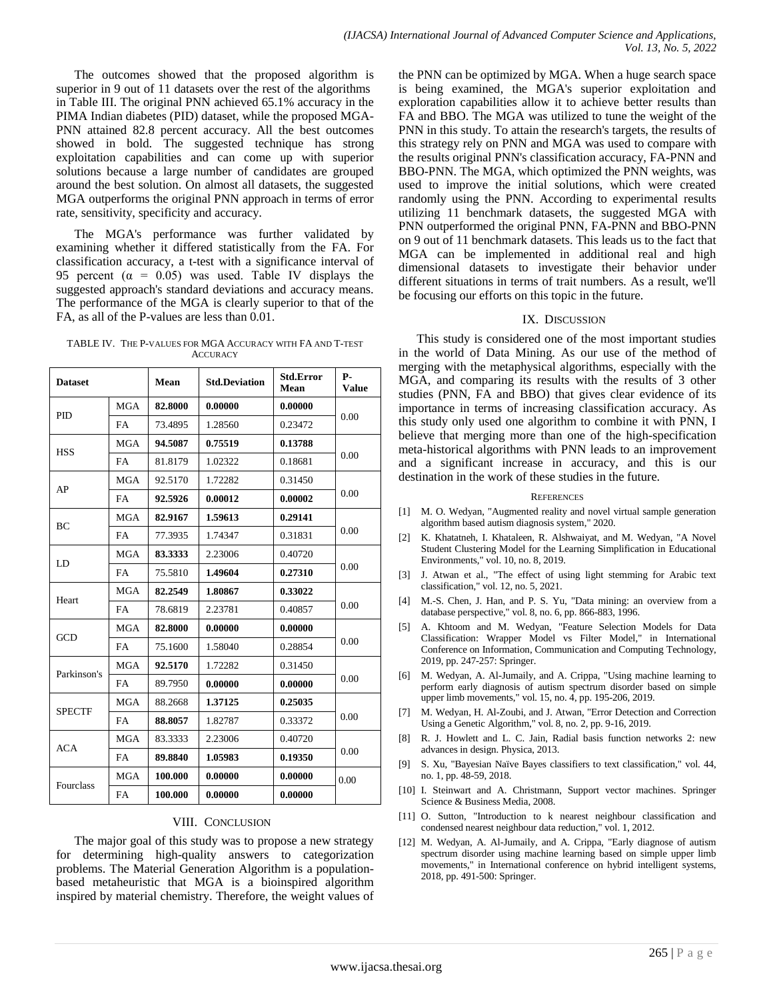The outcomes showed that the proposed algorithm is superior in 9 out of 11 datasets over the rest of the algorithms in Table III. The original PNN achieved 65.1% accuracy in the PIMA Indian diabetes (PID) dataset, while the proposed MGA-PNN attained 82.8 percent accuracy. All the best outcomes showed in bold. The suggested technique has strong exploitation capabilities and can come up with superior solutions because a large number of candidates are grouped around the best solution. On almost all datasets, the suggested MGA outperforms the original PNN approach in terms of error rate, sensitivity, specificity and accuracy.

The MGA's performance was further validated by examining whether it differed statistically from the FA. For classification accuracy, a t-test with a significance interval of 95 percent ( $\alpha = 0.05$ ) was used. Table IV displays the suggested approach's standard deviations and accuracy means. The performance of the MGA is clearly superior to that of the FA, as all of the P-values are less than 0.01.

TABLE IV. THE P-VALUES FOR MGA ACCURACY WITH FA AND T-TEST **ACCURACY** 

| <b>Dataset</b> |            | Mean    | <b>Std.Deviation</b> | <b>Std.Error</b><br>Mean | Р-<br><b>Value</b> |  |
|----------------|------------|---------|----------------------|--------------------------|--------------------|--|
| <b>PID</b>     | <b>MGA</b> | 82.8000 | 0.00000              | 0.00000                  | 0.00               |  |
|                | <b>FA</b>  | 73.4895 | 1.28560              | 0.23472                  |                    |  |
|                | <b>MGA</b> | 94.5087 | 0.75519              | 0.13788                  | 0.00               |  |
| <b>HSS</b>     | <b>FA</b>  | 81.8179 | 1.02322              | 0.18681                  |                    |  |
| AP             | <b>MGA</b> | 92.5170 | 1.72282              | 0.31450                  |                    |  |
|                | FA         | 92.5926 | 0.00012              | 0.00002                  | 0.00               |  |
| <b>BC</b>      | <b>MGA</b> | 82.9167 | 1.59613              | 0.29141                  |                    |  |
|                | <b>FA</b>  | 77.3935 | 1.74347              | 0.31831                  | 0.00               |  |
| LD             | <b>MGA</b> | 83.3333 | 2.23006              | 0.40720                  |                    |  |
|                | <b>FA</b>  | 75.5810 | 1.49604              | 0.27310                  | 0.00               |  |
| Heart          | <b>MGA</b> | 82.2549 | 1.80867              | 0.33022                  | 0.00               |  |
|                | <b>FA</b>  | 78.6819 | 2.23781              | 0.40857                  |                    |  |
| <b>GCD</b>     | MGA        | 82.8000 | 0.00000              | 0.00000                  |                    |  |
|                | FA         | 75.1600 | 1.58040              | 0.28854                  | 0.00               |  |
| Parkinson's    | <b>MGA</b> | 92.5170 | 1.72282              | 0.31450                  | 0.00               |  |
|                | FA         | 89.7950 | 0.00000              | 0.00000                  |                    |  |
| <b>SPECTF</b>  | <b>MGA</b> | 88.2668 | 1.37125              | 0.25035                  |                    |  |
|                | <b>FA</b>  | 88.8057 | 1.82787              | 0.33372                  | 0.00               |  |
| <b>ACA</b>     | <b>MGA</b> | 83.3333 | 2.23006              | 0.40720                  |                    |  |
|                | <b>FA</b>  | 89.8840 | 1.05983              | 0.19350                  | 0.00               |  |
|                | <b>MGA</b> | 100.000 | 0.00000              | 0.00000                  | 0.00               |  |
| Fourclass      | FA         | 100.000 | 0.00000              | 0.00000                  |                    |  |

#### VIII. CONCLUSION

The major goal of this study was to propose a new strategy for determining high-quality answers to categorization problems. The Material Generation Algorithm is a populationbased metaheuristic that MGA is a bioinspired algorithm inspired by material chemistry. Therefore, the weight values of the PNN can be optimized by MGA. When a huge search space is being examined, the MGA's superior exploitation and exploration capabilities allow it to achieve better results than FA and BBO. The MGA was utilized to tune the weight of the PNN in this study. To attain the research's targets, the results of this strategy rely on PNN and MGA was used to compare with the results original PNN's classification accuracy, FA-PNN and BBO-PNN. The MGA, which optimized the PNN weights, was used to improve the initial solutions, which were created randomly using the PNN. According to experimental results utilizing 11 benchmark datasets, the suggested MGA with PNN outperformed the original PNN, FA-PNN and BBO-PNN on 9 out of 11 benchmark datasets. This leads us to the fact that MGA can be implemented in additional real and high dimensional datasets to investigate their behavior under different situations in terms of trait numbers. As a result, we'll be focusing our efforts on this topic in the future.

### IX. DISCUSSION

This study is considered one of the most important studies in the world of Data Mining. As our use of the method of merging with the metaphysical algorithms, especially with the MGA, and comparing its results with the results of 3 other studies (PNN, FA and BBO) that gives clear evidence of its importance in terms of increasing classification accuracy. As this study only used one algorithm to combine it with PNN, I believe that merging more than one of the high-specification meta-historical algorithms with PNN leads to an improvement and a significant increase in accuracy, and this is our destination in the work of these studies in the future.

#### **REFERENCES**

- [1] M. O. Wedyan, "Augmented reality and novel virtual sample generation algorithm based autism diagnosis system," 2020.
- [2] K. Khatatneh, I. Khataleen, R. Alshwaiyat, and M. Wedyan, "A Novel Student Clustering Model for the Learning Simplification in Educational Environments," vol. 10, no. 8, 2019.
- [3] J. Atwan et al., "The effect of using light stemming for Arabic text classification," vol. 12, no. 5, 2021.
- [4] M.-S. Chen, J. Han, and P. S. Yu, "Data mining: an overview from a database perspective," vol. 8, no. 6, pp. 866-883, 1996.
- [5] A. Khtoom and M. Wedyan, "Feature Selection Models for Data Classification: Wrapper Model vs Filter Model," in International Conference on Information, Communication and Computing Technology, 2019, pp. 247-257: Springer.
- [6] M. Wedyan, A. Al-Jumaily, and A. Crippa, "Using machine learning to perform early diagnosis of autism spectrum disorder based on simple upper limb movements," vol. 15, no. 4, pp. 195-206, 2019.
- [7] M. Wedyan, H. Al-Zoubi, and J. Atwan, "Error Detection and Correction Using a Genetic Algorithm," vol. 8, no. 2, pp. 9-16, 2019.
- [8] R. J. Howlett and L. C. Jain, Radial basis function networks 2: new advances in design. Physica, 2013.
- [9] S. Xu, "Bayesian Naïve Bayes classifiers to text classification," vol. 44, no. 1, pp. 48-59, 2018.
- [10] I. Steinwart and A. Christmann, Support vector machines. Springer Science & Business Media, 2008.
- [11] O. Sutton, "Introduction to k nearest neighbour classification and condensed nearest neighbour data reduction," vol. 1, 2012.
- [12] M. Wedyan, A. Al-Jumaily, and A. Crippa, "Early diagnose of autism spectrum disorder using machine learning based on simple upper limb movements," in International conference on hybrid intelligent systems, 2018, pp. 491-500: Springer.